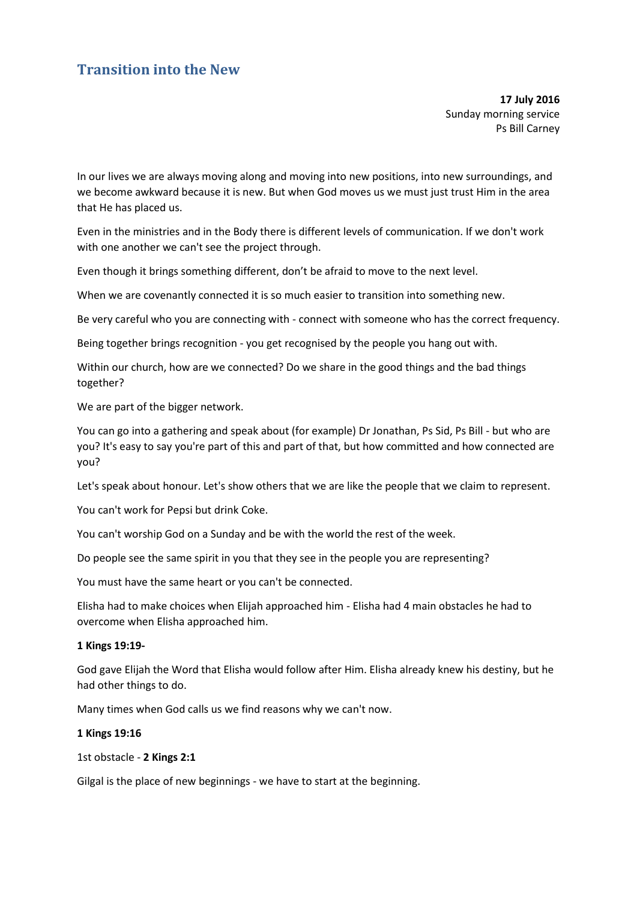# **Transition into the New**

**17 July 2016**  Sunday morning service Ps Bill Carney

In our lives we are always moving along and moving into new positions, into new surroundings, and we become awkward because it is new. But when God moves us we must just trust Him in the area that He has placed us.

Even in the ministries and in the Body there is different levels of communication. If we don't work with one another we can't see the project through.

Even though it brings something different, don't be afraid to move to the next level.

When we are covenantly connected it is so much easier to transition into something new.

Be very careful who you are connecting with - connect with someone who has the correct frequency.

Being together brings recognition - you get recognised by the people you hang out with.

Within our church, how are we connected? Do we share in the good things and the bad things together?

We are part of the bigger network.

You can go into a gathering and speak about (for example) Dr Jonathan, Ps Sid, Ps Bill - but who are you? It's easy to say you're part of this and part of that, but how committed and how connected are you?

Let's speak about honour. Let's show others that we are like the people that we claim to represent.

You can't work for Pepsi but drink Coke.

You can't worship God on a Sunday and be with the world the rest of the week.

Do people see the same spirit in you that they see in the people you are representing?

You must have the same heart or you can't be connected.

Elisha had to make choices when Elijah approached him - Elisha had 4 main obstacles he had to overcome when Elisha approached him.

# **1 Kings 19:19-**

God gave Elijah the Word that Elisha would follow after Him. Elisha already knew his destiny, but he had other things to do.

Many times when God calls us we find reasons why we can't now.

### **1 Kings 19:16**

```
1st obstacle - 2 Kings 2:1
```
Gilgal is the place of new beginnings - we have to start at the beginning.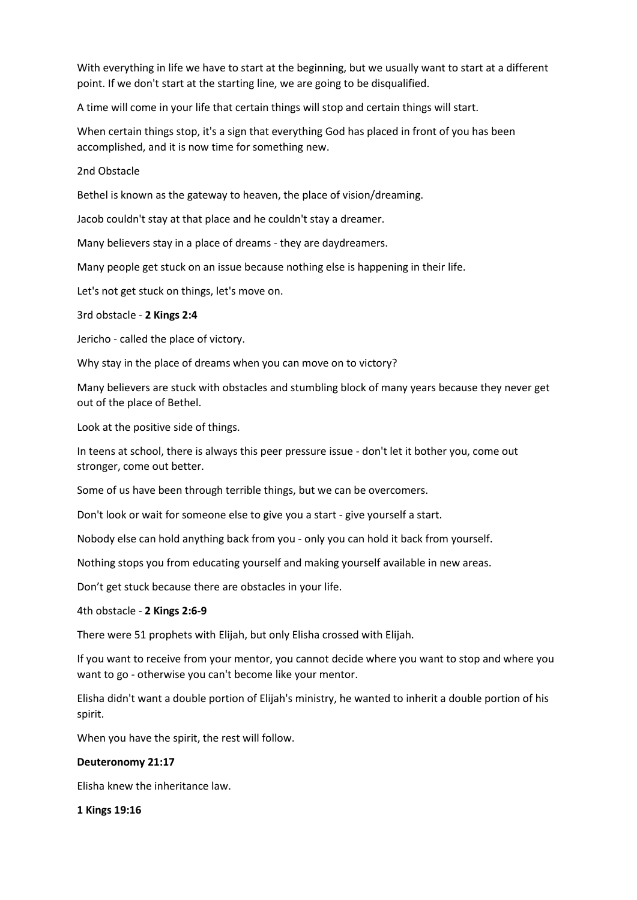With everything in life we have to start at the beginning, but we usually want to start at a different point. If we don't start at the starting line, we are going to be disqualified.

A time will come in your life that certain things will stop and certain things will start.

When certain things stop, it's a sign that everything God has placed in front of you has been accomplished, and it is now time for something new.

# 2nd Obstacle

Bethel is known as the gateway to heaven, the place of vision/dreaming.

Jacob couldn't stay at that place and he couldn't stay a dreamer.

Many believers stay in a place of dreams - they are daydreamers.

Many people get stuck on an issue because nothing else is happening in their life.

Let's not get stuck on things, let's move on.

3rd obstacle - **2 Kings 2:4**

Jericho - called the place of victory.

Why stay in the place of dreams when you can move on to victory?

Many believers are stuck with obstacles and stumbling block of many years because they never get out of the place of Bethel.

Look at the positive side of things.

In teens at school, there is always this peer pressure issue - don't let it bother you, come out stronger, come out better.

Some of us have been through terrible things, but we can be overcomers.

Don't look or wait for someone else to give you a start - give yourself a start.

Nobody else can hold anything back from you - only you can hold it back from yourself.

Nothing stops you from educating yourself and making yourself available in new areas.

Don't get stuck because there are obstacles in your life.

4th obstacle - **2 Kings 2:6-9**

There were 51 prophets with Elijah, but only Elisha crossed with Elijah.

If you want to receive from your mentor, you cannot decide where you want to stop and where you want to go - otherwise you can't become like your mentor.

Elisha didn't want a double portion of Elijah's ministry, he wanted to inherit a double portion of his spirit.

When you have the spirit, the rest will follow.

# **Deuteronomy 21:17**

Elisha knew the inheritance law.

### **1 Kings 19:16**